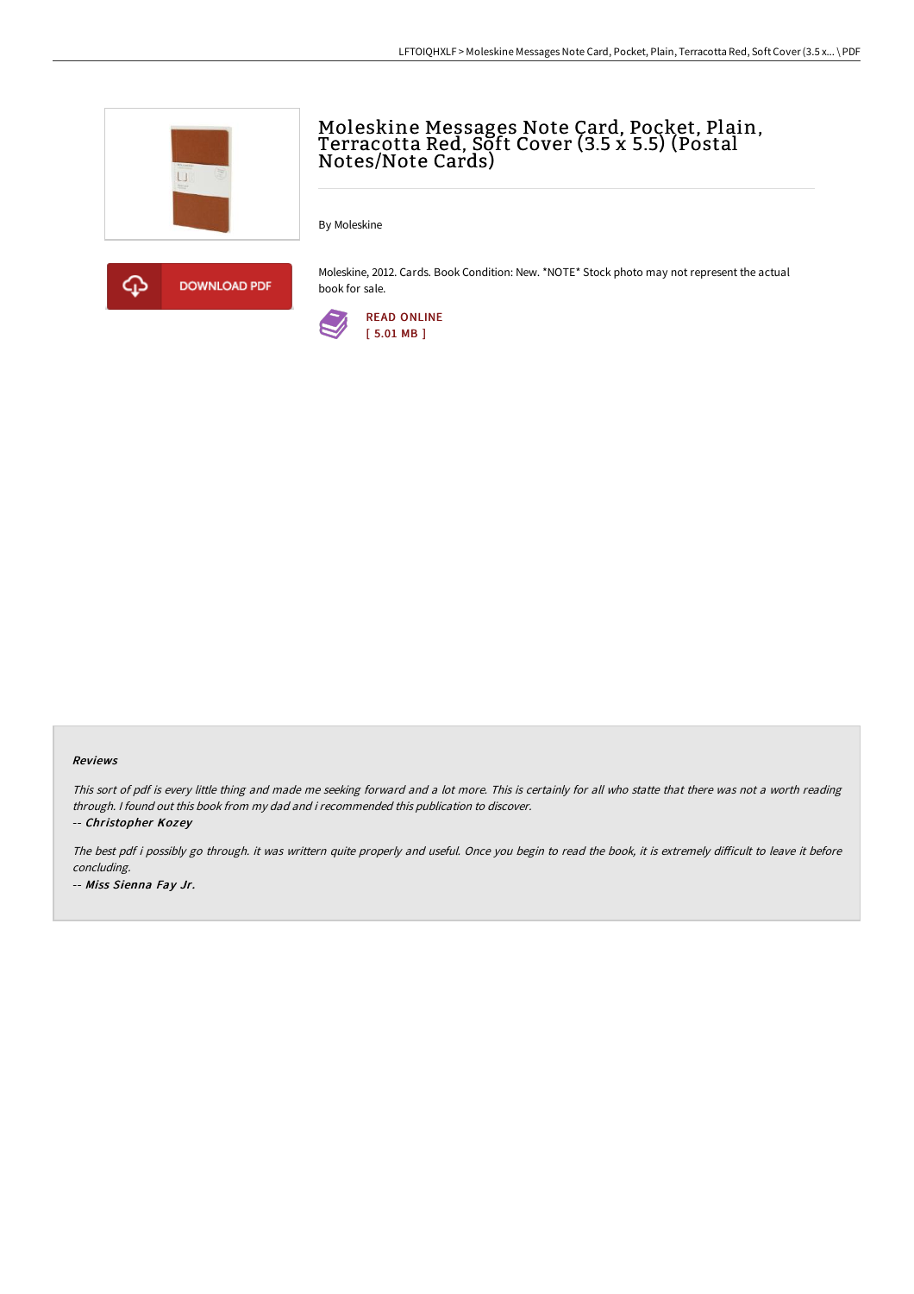

## Moleskine Messages Note Card, Pocket, Plain, Terracotta Red, Sŏft Cover (3.5 x 5.5) (Postal Notes/Note Cards)

By Moleskine



Moleskine, 2012. Cards. Book Condition: New. \*NOTE\* Stock photo may not represent the actual book for sale.



## Reviews

This sort of pdf is every little thing and made me seeking forward and <sup>a</sup> lot more. This is certainly for all who statte that there was not <sup>a</sup> worth reading through. <sup>I</sup> found out this book from my dad and i recommended this publication to discover.

-- Christopher Kozey

The best pdf i possibly go through. it was writtern quite properly and useful. Once you begin to read the book, it is extremely difficult to leave it before concluding. -- Miss Sienna Fay Jr.